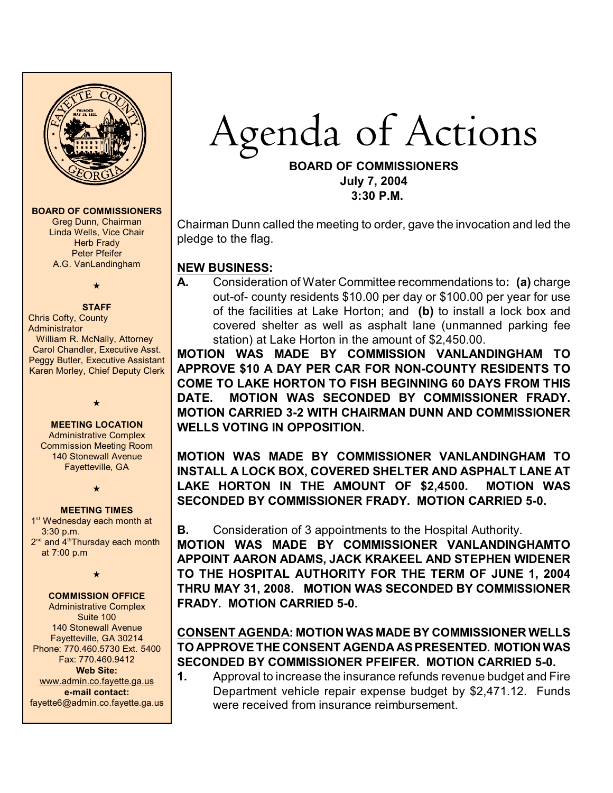

#### **BOARD OF COMMISSIONERS**

Greg Dunn, Chairman Linda Wells, Vice Chair **Herb Frady** Peter Pfeifer A.G. VanLandingham

# $\star$

# **STAFF**

Chris Cofty, County Administrator William R. McNally, Attorney Carol Chandler, Executive Asst. Peggy Butler, Executive Assistant Karen Morley, Chief Deputy Clerk

**MEETING LOCATION**

 $\star$ 

Administrative Complex Commission Meeting Room 140 Stonewall Avenue Fayetteville, GA

 $\star$ 

#### **MEETING TIMES**

1<sup>st</sup> Wednesday each month at 3:30 p.m.  $2<sup>nd</sup>$  and  $4<sup>th</sup>$ Thursdav each month at 7:00 p.m

 $\star$ 

#### **COMMISSION OFFICE**

Administrative Complex Suite 100 140 Stonewall Avenue Fayetteville, GA 30214 Phone: 770.460.5730 Ext. 5400 Fax: 770.460.9412 **Web Site:** [www.admin.co.fayette.ga.us](http://www.admin.co.fayette.ga.us) **e-mail contact:** fayette6@admin.co.fayette.ga.us *Agenda* of Actions

#### **BOARD OF COMMISSIONERS July 7, 2004 3:30 P.M.**

Chairman Dunn called the meeting to order, gave the invocation and led the pledge to the flag.

## **NEW BUSINESS:**

**A.** Consideration of Water Committee recommendations to**: (a)** charge out-of- county residents \$10.00 per day or \$100.00 per year for use of the facilities at Lake Horton; and **(b)** to install a lock box and covered shelter as well as asphalt lane (unmanned parking fee station) at Lake Horton in the amount of \$2,450.00.

**MOTION WAS MADE BY COMMISSION VANLANDINGHAM TO APPROVE \$10 A DAY PER CAR FOR NON-COUNTY RESIDENTS TO COME TO LAKE HORTON TO FISH BEGINNING 60 DAYS FROM THIS DATE. MOTION WAS SECONDED BY COMMISSIONER FRADY. MOTION CARRIED 3-2 WITH CHAIRMAN DUNN AND COMMISSIONER WELLS VOTING IN OPPOSITION.**

**MOTION WAS MADE BY COMMISSIONER VANLANDINGHAM TO INSTALL A LOCK BOX, COVERED SHELTER AND ASPHALT LANE AT LAKE HORTON IN THE AMOUNT OF \$2,4500. MOTION WAS SECONDED BY COMMISSIONER FRADY. MOTION CARRIED 5-0.**

### **B.** Consideration of 3 appointments to the Hospital Authority.

**MOTION WAS MADE BY COMMISSIONER VANLANDINGHAMTO APPOINT AARON ADAMS, JACK KRAKEEL AND STEPHEN WIDENER TO THE HOSPITAL AUTHORITY FOR THE TERM OF JUNE 1, 2004 THRU MAY 31, 2008. MOTION WAS SECONDED BY COMMISSIONER FRADY. MOTION CARRIED 5-0.**

# **CONSENT AGENDA: MOTION WAS MADE BY COMMISSIONER WELLS TO APPROVE THE CONSENT AGENDA AS PRESENTED. MOTION WAS SECONDED BY COMMISSIONER PFEIFER. MOTION CARRIED 5-0.**

**1.** Approval to increase the insurance refunds revenue budget and Fire Department vehicle repair expense budget by \$2,471.12. Funds were received from insurance reimbursement.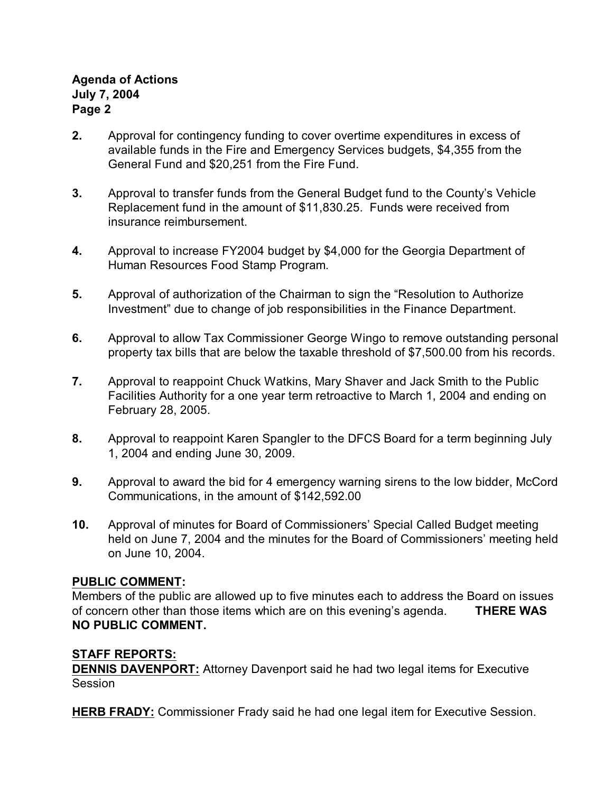# **Agenda of Actions July 7, 2004 Page 2**

- **2.** Approval for contingency funding to cover overtime expenditures in excess of available funds in the Fire and Emergency Services budgets, \$4,355 from the General Fund and \$20,251 from the Fire Fund.
- **3.** Approval to transfer funds from the General Budget fund to the County's Vehicle Replacement fund in the amount of \$11,830.25. Funds were received from insurance reimbursement.
- **4.** Approval to increase FY2004 budget by \$4,000 for the Georgia Department of Human Resources Food Stamp Program.
- **5.** Approval of authorization of the Chairman to sign the "Resolution to Authorize Investment" due to change of job responsibilities in the Finance Department.
- **6.** Approval to allow Tax Commissioner George Wingo to remove outstanding personal property tax bills that are below the taxable threshold of \$7,500.00 from his records.
- **7.** Approval to reappoint Chuck Watkins, Mary Shaver and Jack Smith to the Public Facilities Authority for a one year term retroactive to March 1, 2004 and ending on February 28, 2005.
- **8.** Approval to reappoint Karen Spangler to the DFCS Board for a term beginning July 1, 2004 and ending June 30, 2009.
- **9.** Approval to award the bid for 4 emergency warning sirens to the low bidder, McCord Communications, in the amount of \$142,592.00
- **10.** Approval of minutes for Board of Commissioners' Special Called Budget meeting held on June 7, 2004 and the minutes for the Board of Commissioners' meeting held on June 10, 2004.

# **PUBLIC COMMENT:**

Members of the public are allowed up to five minutes each to address the Board on issues of concern other than those items which are on this evening's agenda. **THERE WAS NO PUBLIC COMMENT.**

# **STAFF REPORTS:**

**DENNIS DAVENPORT:** Attorney Davenport said he had two legal items for Executive Session

**HERB FRADY:** Commissioner Frady said he had one legal item for Executive Session.